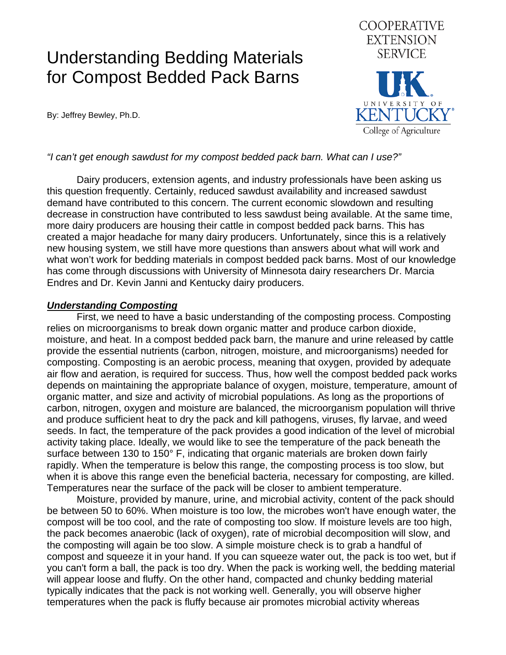# Understanding Bedding Materials for Compost Bedded Pack Barns

By: Jeffrey Bewley, Ph.D.



### *"I can't get enough sawdust for my compost bedded pack barn. What can I use?"*

Dairy producers, extension agents, and industry professionals have been asking us this question frequently. Certainly, reduced sawdust availability and increased sawdust demand have contributed to this concern. The current economic slowdown and resulting decrease in construction have contributed to less sawdust being available. At the same time, more dairy producers are housing their cattle in compost bedded pack barns. This has created a major headache for many dairy producers. Unfortunately, since this is a relatively new housing system, we still have more questions than answers about what will work and what won't work for bedding materials in compost bedded pack barns. Most of our knowledge has come through discussions with University of Minnesota dairy researchers Dr. Marcia Endres and Dr. Kevin Janni and Kentucky dairy producers.

#### *Understanding Composting*

First, we need to have a basic understanding of the composting process. Composting relies on microorganisms to break down organic matter and produce carbon dioxide, moisture, and heat. In a compost bedded pack barn, the manure and urine released by cattle provide the essential nutrients (carbon, nitrogen, moisture, and microorganisms) needed for composting. Composting is an aerobic process, meaning that oxygen, provided by adequate air flow and aeration, is required for success. Thus, how well the compost bedded pack works depends on maintaining the appropriate balance of oxygen, moisture, temperature, amount of organic matter, and size and activity of microbial populations. As long as the proportions of carbon, nitrogen, oxygen and moisture are balanced, the microorganism population will thrive and produce sufficient heat to dry the pack and kill pathogens, viruses, fly larvae, and weed seeds. In fact, the temperature of the pack provides a good indication of the level of microbial activity taking place. Ideally, we would like to see the temperature of the pack beneath the surface between 130 to 150° F, indicating that organic materials are broken down fairly rapidly. When the temperature is below this range, the composting process is too slow, but when it is above this range even the beneficial bacteria, necessary for composting, are killed. Temperatures near the surface of the pack will be closer to ambient temperature.

Moisture, provided by manure, urine, and microbial activity, content of the pack should be between 50 to 60%. When moisture is too low, the microbes won't have enough water, the compost will be too cool, and the rate of composting too slow. If moisture levels are too high, the pack becomes anaerobic (lack of oxygen), rate of microbial decomposition will slow, and the composting will again be too slow. A simple moisture check is to grab a handful of compost and squeeze it in your hand. If you can squeeze water out, the pack is too wet, but if you can't form a ball, the pack is too dry. When the pack is working well, the bedding material will appear loose and fluffy. On the other hand, compacted and chunky bedding material typically indicates that the pack is not working well. Generally, you will observe higher temperatures when the pack is fluffy because air promotes microbial activity whereas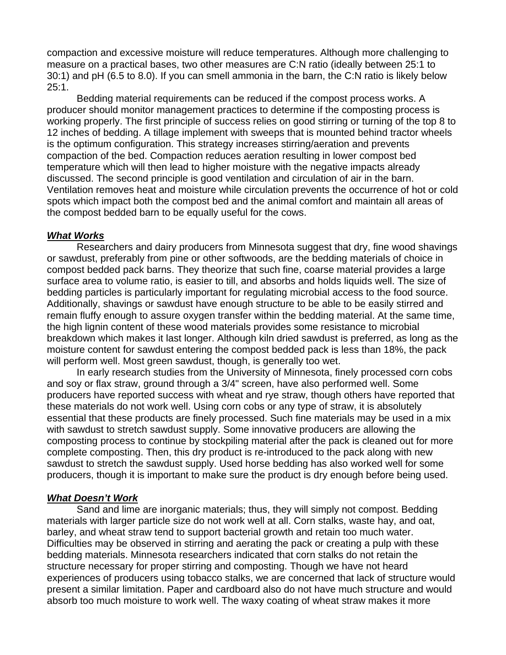compaction and excessive moisture will reduce temperatures. Although more challenging to measure on a practical bases, two other measures are C:N ratio (ideally between 25:1 to 30:1) and pH (6.5 to 8.0). If you can smell ammonia in the barn, the C:N ratio is likely below 25:1.

Bedding material requirements can be reduced if the compost process works. A producer should monitor management practices to determine if the composting process is working properly. The first principle of success relies on good stirring or turning of the top 8 to 12 inches of bedding. A tillage implement with sweeps that is mounted behind tractor wheels is the optimum configuration. This strategy increases stirring/aeration and prevents compaction of the bed. Compaction reduces aeration resulting in lower compost bed temperature which will then lead to higher moisture with the negative impacts already discussed. The second principle is good ventilation and circulation of air in the barn. Ventilation removes heat and moisture while circulation prevents the occurrence of hot or cold spots which impact both the compost bed and the animal comfort and maintain all areas of the compost bedded barn to be equally useful for the cows.

#### *What Works*

 Researchers and dairy producers from Minnesota suggest that dry, fine wood shavings or sawdust, preferably from pine or other softwoods, are the bedding materials of choice in compost bedded pack barns. They theorize that such fine, coarse material provides a large surface area to volume ratio, is easier to till, and absorbs and holds liquids well. The size of bedding particles is particularly important for regulating microbial access to the food source. Additionally, shavings or sawdust have enough structure to be able to be easily stirred and remain fluffy enough to assure oxygen transfer within the bedding material. At the same time, the high lignin content of these wood materials provides some resistance to microbial breakdown which makes it last longer. Although kiln dried sawdust is preferred, as long as the moisture content for sawdust entering the compost bedded pack is less than 18%, the pack will perform well. Most green sawdust, though, is generally too wet.

In early research studies from the University of Minnesota, finely processed corn cobs and soy or flax straw, ground through a 3/4" screen, have also performed well. Some producers have reported success with wheat and rye straw, though others have reported that these materials do not work well. Using corn cobs or any type of straw, it is absolutely essential that these products are finely processed. Such fine materials may be used in a mix with sawdust to stretch sawdust supply. Some innovative producers are allowing the composting process to continue by stockpiling material after the pack is cleaned out for more complete composting. Then, this dry product is re-introduced to the pack along with new sawdust to stretch the sawdust supply. Used horse bedding has also worked well for some producers, though it is important to make sure the product is dry enough before being used.

## *What Doesn't Work*

Sand and lime are inorganic materials; thus, they will simply not compost. Bedding materials with larger particle size do not work well at all. Corn stalks, waste hay, and oat, barley, and wheat straw tend to support bacterial growth and retain too much water. Difficulties may be observed in stirring and aerating the pack or creating a pulp with these bedding materials. Minnesota researchers indicated that corn stalks do not retain the structure necessary for proper stirring and composting. Though we have not heard experiences of producers using tobacco stalks, we are concerned that lack of structure would present a similar limitation. Paper and cardboard also do not have much structure and would absorb too much moisture to work well. The waxy coating of wheat straw makes it more